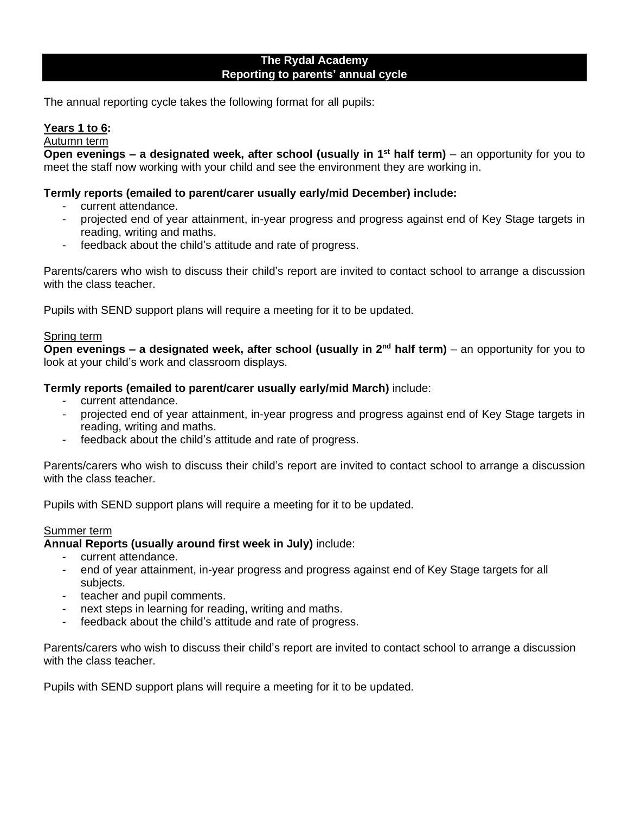## **The Rydal Academy Reporting to parents' annual cycle**

The annual reporting cycle takes the following format for all pupils:

# **Years 1 to 6:**

Autumn term

**Open evenings – a designated week, after school (usually in 1<sup>st</sup> half term) – an opportunity for you to** meet the staff now working with your child and see the environment they are working in.

## **Termly reports (emailed to parent/carer usually early/mid December) include:**

- current attendance.
- projected end of year attainment, in-year progress and progress against end of Key Stage targets in reading, writing and maths.
- feedback about the child's attitude and rate of progress.

Parents/carers who wish to discuss their child's report are invited to contact school to arrange a discussion with the class teacher.

Pupils with SEND support plans will require a meeting for it to be updated.

## Spring term

**Open evenings – a designated week, after school (usually in 2nd half term)** – an opportunity for you to look at your child's work and classroom displays.

### **Termly reports (emailed to parent/carer usually early/mid March)** include:

- current attendance.
- projected end of year attainment, in-year progress and progress against end of Key Stage targets in reading, writing and maths.
- feedback about the child's attitude and rate of progress.

Parents/carers who wish to discuss their child's report are invited to contact school to arrange a discussion with the class teacher.

Pupils with SEND support plans will require a meeting for it to be updated.

#### Summer term

## **Annual Reports (usually around first week in July)** include:

- current attendance.
- end of year attainment, in-year progress and progress against end of Key Stage targets for all subjects.
- teacher and pupil comments.
- next steps in learning for reading, writing and maths.
- feedback about the child's attitude and rate of progress.

Parents/carers who wish to discuss their child's report are invited to contact school to arrange a discussion with the class teacher.

Pupils with SEND support plans will require a meeting for it to be updated.